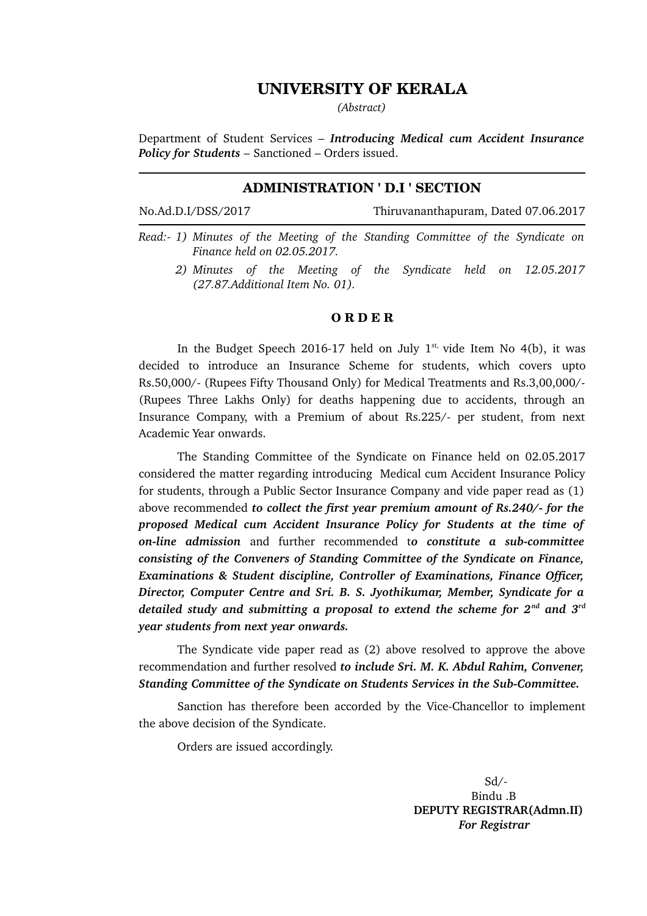## **UNIVERSITY OF KERALA**

*(Abstract)*

Department of Student Services – *Introducing Medical cum Accident Insurance Policy for Students –* Sanctioned – Orders issued.

## **ADMINISTRATION ' D.I ' SECTION**

No.Ad.D.I/DSS/2017 Thiruvananthapuram, Dated 07.06.2017

*Read: 1) Minutes of the Meeting of the Standing Committee of the Syndicate on Finance held on 02.05.2017.*

*2) Minutes of the Meeting of the Syndicate held on 12.05.2017 (27.87.Additional Item No. 01).*

## **O R D E R**

In the Budget Speech 2016-17 held on July  $1^{st}$ , vide Item No 4(b), it was decided to introduce an Insurance Scheme for students, which covers upto Rs.50,000/- (Rupees Fifty Thousand Only) for Medical Treatments and Rs.3,00,000/-(Rupees Three Lakhs Only) for deaths happening due to accidents, through an Insurance Company, with a Premium of about Rs.225/- per student, from next Academic Year onwards.

The Standing Committee of the Syndicate on Finance held on 02.05.2017 considered the matter regarding introducing Medical cum Accident Insurance Policy for students, through a Public Sector Insurance Company and vide paper read as (1) above recommended *to collect the first year premium amount of Rs.240/ for the proposed Medical cum Accident Insurance Policy for Students at the time of online admission* and further recommended t*o constitute a subcommittee consisting of the Conveners of Standing Committee of the Syndicate on Finance, Examinations & Student discipline, Controller of Examinations, Finance Officer, Director, Computer Centre and Sri. B. S. Jyothikumar, Member, Syndicate for a detailed study and submitting a proposal to extend the scheme for 2nd and 3rd year students from next year onwards.*

The Syndicate vide paper read as (2) above resolved to approve the above recommendation and further resolved *to include Sri. M. K. Abdul Rahim, Convener,* **Standing Committee of the Syndicate on Students Services in the Sub-Committee.** 

Sanction has therefore been accorded by the Vice-Chancellor to implement the above decision of the Syndicate.

Orders are issued accordingly.

 Sd/ Bindu .B  **DEPUTY REGISTRAR(Admn.II)**  *For Registrar*